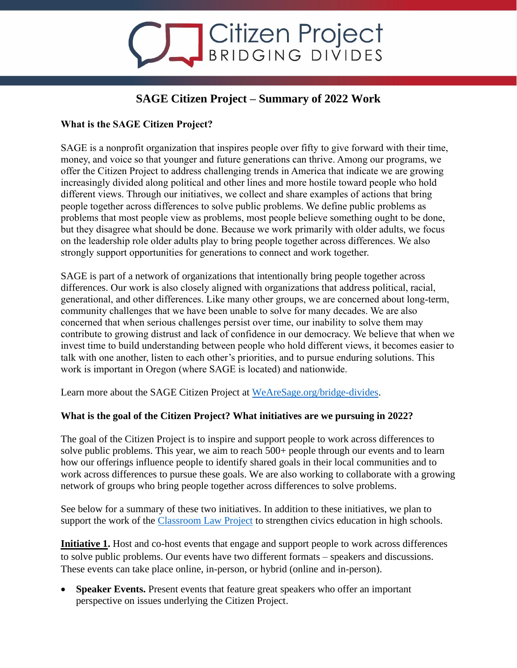# Citizen Project

## **SAGE Citizen Project – Summary of 2022 Work**

### **What is the SAGE Citizen Project?**

SAGE is a nonprofit organization that inspires people over fifty to give forward with their time, money, and voice so that younger and future generations can thrive. Among our programs, we offer the Citizen Project to address challenging trends in America that indicate we are growing increasingly divided along political and other lines and more hostile toward people who hold different views. Through our initiatives, we collect and share examples of actions that bring people together across differences to solve public problems. We define public problems as problems that most people view as problems, most people believe something ought to be done, but they disagree what should be done. Because we work primarily with older adults, we focus on the leadership role older adults play to bring people together across differences. We also strongly support opportunities for generations to connect and work together.

SAGE is part of a network of organizations that intentionally bring people together across differences. Our work is also closely aligned with organizations that address political, racial, generational, and other differences. Like many other groups, we are concerned about long-term, community challenges that we have been unable to solve for many decades. We are also concerned that when serious challenges persist over time, our inability to solve them may contribute to growing distrust and lack of confidence in our democracy. We believe that when we invest time to build understanding between people who hold different views, it becomes easier to talk with one another, listen to each other's priorities, and to pursue enduring solutions. This work is important in Oregon (where SAGE is located) and nationwide.

Learn more about the SAGE Citizen Project at [WeAreSage.org/bridge-divides.](https://wearesage.org/bridge-divides/)

#### **What is the goal of the Citizen Project? What initiatives are we pursuing in 2022?**

The goal of the Citizen Project is to inspire and support people to work across differences to solve public problems. This year, we aim to reach 500+ people through our events and to learn how our offerings influence people to identify shared goals in their local communities and to work across differences to pursue these goals. We are also working to collaborate with a growing network of groups who bring people together across differences to solve problems.

See below for a summary of these two initiatives. In addition to these initiatives, we plan to support the work of the [Classroom Law Project](https://classroomlaw.org/) to strengthen civics education in high schools.

**Initiative 1.** Host and co-host events that engage and support people to work across differences to solve public problems. Our events have two different formats – speakers and discussions. These events can take place online, in-person, or hybrid (online and in-person).

• **Speaker Events.** Present events that feature great speakers who offer an important perspective on issues underlying the Citizen Project.